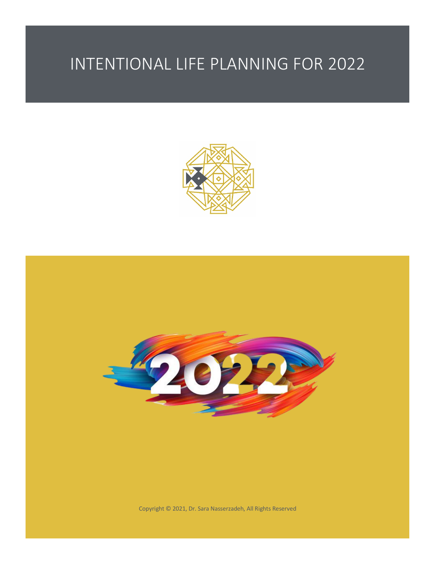

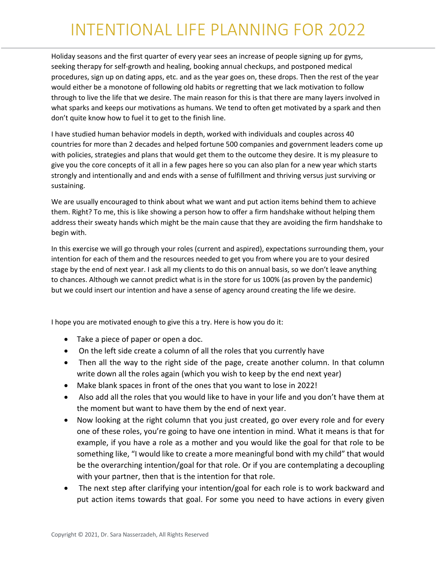Holiday seasons and the first quarter of every year sees an increase of people signing up for gyms, seeking therapy for self-growth and healing, booking annual checkups, and postponed medical procedures, sign up on dating apps, etc. and as the year goes on, these drops. Then the rest of the year would either be a monotone of following old habits or regretting that we lack motivation to follow through to live the life that we desire. The main reason for this is that there are many layers involved in what sparks and keeps our motivations as humans. We tend to often get motivated by a spark and then don't quite know how to fuel it to get to the finish line.

I have studied human behavior models in depth, worked with individuals and couples across 40 countries for more than 2 decades and helped fortune 500 companies and government leaders come up with policies, strategies and plans that would get them to the outcome they desire. It is my pleasure to give you the core concepts of it all in a few pages here so you can also plan for a new year which starts strongly and intentionally and and ends with a sense of fulfillment and thriving versus just surviving or sustaining.

We are usually encouraged to think about what we want and put action items behind them to achieve them. Right? To me, this is like showing a person how to offer a firm handshake without helping them address their sweaty hands which might be the main cause that they are avoiding the firm handshake to begin with.

In this exercise we will go through your roles (current and aspired), expectations surrounding them, your intention for each of them and the resources needed to get you from where you are to your desired stage by the end of next year. I ask all my clients to do this on annual basis, so we don't leave anything to chances. Although we cannot predict what is in the store for us 100% (as proven by the pandemic) but we could insert our intention and have a sense of agency around creating the life we desire.

I hope you are motivated enough to give this a try. Here is how you do it:

- Take a piece of paper or open a doc.
- On the left side create a column of all the roles that you currently have
- Then all the way to the right side of the page, create another column. In that column write down all the roles again (which you wish to keep by the end next year)
- Make blank spaces in front of the ones that you want to lose in 2022!
- Also add all the roles that you would like to have in your life and you don't have them at the moment but want to have them by the end of next year.
- Now looking at the right column that you just created, go over every role and for every one of these roles, you're going to have one intention in mind. What it means is that for example, if you have a role as a mother and you would like the goal for that role to be something like, "I would like to create a more meaningful bond with my child" that would be the overarching intention/goal for that role. Or if you are contemplating a decoupling with your partner, then that is the intention for that role.
- The next step after clarifying your intention/goal for each role is to work backward and put action items towards that goal. For some you need to have actions in every given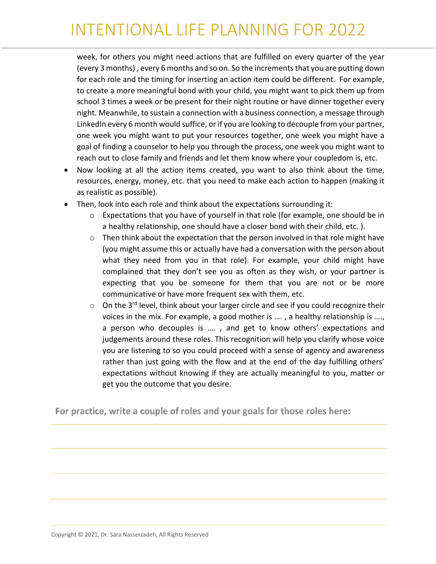week, for others you might need actions that are fulfilled on every quarter of the year (every 3 months) , every 6 months and so on. So the increments that you are putting down for each role and the timing for inserting an action item could be different. For example, to create a more meaningful bond with your child, you might want to pick them up from school 3 times a week or be present for their night routine or have dinner together every night. Meanwhile, to sustain a connection with a business connection, a message through LinkedIn every 6 month would suffice, or if you are looking to decouple from your partner, one week you might want to put your resources together, one week you might have a goal of finding a counselor to help you through the process, one week you might want to reach out to close family and friends and let them know where your coupledom is, etc.

- Now looking at all the action items created, you want to also think about the time, resources, energy, money, etc. that you need to make each action to happen (making it as realistic as possible).
- Then, look into each role and think about the expectations surrounding it:
	- o Expectations that you have of yourself in that role (for example, one should be in a healthy relationship, one should have a closer bond with their child, etc. ).
	- $\circ$  Then think about the expectation that the person involved in that role might have (you might assume this or actually have had a conversation with the person about what they need from you in that role). For example, your child might have complained that they don't see you as often as they wish, or your partner is expecting that you be someone for them that you are not or be more communicative or have more frequent sex with them, etc.
	- $\circ$  On the 3<sup>rd</sup> level, think about your larger circle and see if you could recognize their voices in the mix. For example, a good mother is …. , a healthy relationship is …., a person who decouples is …. , and get to know others' expectations and judgements around these roles. This recognition will help you clarify whose voice you are listening to so you could proceed with a sense of agency and awareness rather than just going with the flow and at the end of the day fulfilling others' expectations without knowing if they are actually meaningful to you, matter or get you the outcome that you desire.

For practice, write a couple of roles and your goals for those roles here: